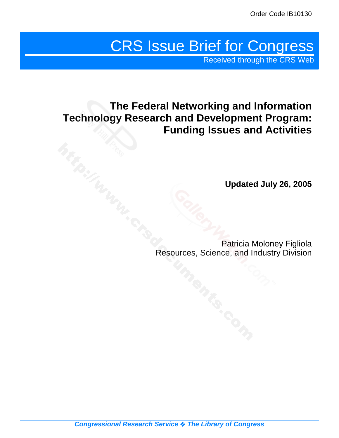# CRS Issue Brief for Congress

Received through the CRS Web

# **The Federal Networking and Information Technology Research and Development Program: Funding Issues and Activities**

**Updated July 26, 2005**

Patricia Moloney Figliola Resources, Science, and Industry Division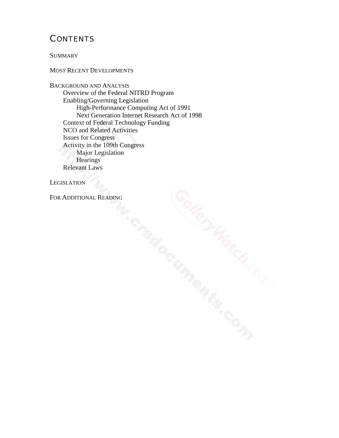# **CONTENTS**

**SUMMARY** 

#### MOST RECENT DEVELOPMENTS

BACKGROUND AND ANALYSIS Overview of the Federal NITRD Program Enabling/Governing Legislation High-Performance Computing Act of 1991 Next Generation Internet Research Act of 1998 Context of Federal Technology Funding NCO and Related Activities Issues for Congress Activity in the 109th Congress Major Legislation **Hearings** Relevant Laws

**LEGISLATION** 

FOR ADDITIONAL READING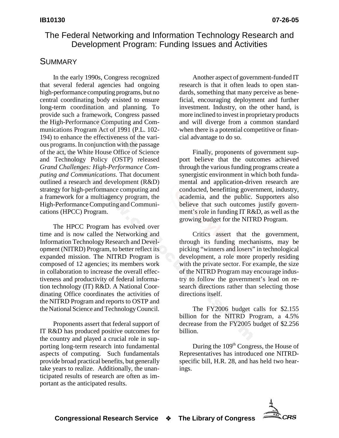# The Federal Networking and Information Technology Research and Development Program: Funding Issues and Activities

# **SUMMARY**

In the early 1990s, Congress recognized that several federal agencies had ongoing high-performance computing programs, but no central coordinating body existed to ensure long-term coordination and planning. To provide such a framework, Congress passed the High-Performance Computing and Communications Program Act of 1991 (P.L. 102- 194) to enhance the effectiveness of the various programs. In conjunction with the passage of the act, the White House Office of Science and Technology Policy (OSTP) released *Grand Challenges: High-Performance Computing and Communications*. That document outlined a research and development (R&D) strategy for high-performance computing and a framework for a multiagency program, the High-Performance Computing and Communications (HPCC) Program.

The HPCC Program has evolved over time and is now called the Networking and Information Technology Research and Development (NITRD) Program, to better reflect its expanded mission. The NITRD Program is composed of 12 agencies; its members work in collaboration to increase the overall effectiveness and productivity of federal information technology (IT) R&D. A National Coordinating Office coordinates the activities of the NITRD Program and reports to OSTP and the National Science and Technology Council.

Proponents assert that federal support of IT R&D has produced positive outcomes for the country and played a crucial role in supporting long-term research into fundamental aspects of computing. Such fundamentals provide broad practical benefits, but generally take years to realize. Additionally, the unanticipated results of research are often as important as the anticipated results.

Another aspect of government-funded IT research is that it often leads to open standards, something that many perceive as beneficial, encouraging deployment and further investment. Industry, on the other hand, is more inclined to invest in proprietary products and will diverge from a common standard when there is a potential competitive or financial advantage to do so.

Finally, proponents of government support believe that the outcomes achieved through the various funding programs create a synergistic environment in which both fundamental and application-driven research are conducted, benefitting government, industry, academia, and the public. Supporters also believe that such outcomes justify government's role in funding IT R&D, as well as the growing budget for the NITRD Program.

Critics assert that the government, through its funding mechanisms, may be picking "winners and losers" in technological development, a role more properly residing with the private sector. For example, the size of the NITRD Program may encourage industry to follow the government's lead on research directions rather than selecting those directions itself.

The FY2006 budget calls for \$2.155 billion for the NITRD Program, a 4.5% decrease from the FY2005 budget of \$2.256 billion.

During the 109<sup>th</sup> Congress, the House of Representatives has introduced one NITRDspecific bill, H.R. 28, and has held two hearings.

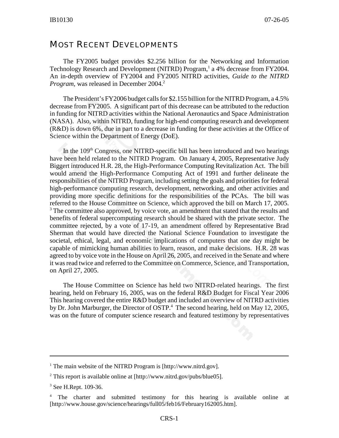# MOST RECENT DEVELOPMENTS

The FY2005 budget provides \$2.256 billion for the Networking and Information Technology Research and Development (NITRD) Program,<sup>1</sup> a 4% decrease from FY2004. An in-depth overview of FY2004 and FY2005 NITRD activities, *Guide to the NITRD Program*, was released in December 2004.<sup>2</sup>

The President's FY2006 budget calls for \$2.155 billion for the NITRD Program, a 4.5% decrease from FY2005. A significant part of this decrease can be attributed to the reduction in funding for NITRD activities within the National Aeronautics and Space Administration (NASA). Also, within NITRD, funding for high-end computing research and development (R&D) is down 6%, due in part to a decrease in funding for these activities at the Office of Science within the Department of Energy (DoE).

In the  $109<sup>th</sup>$  Congress, one NITRD-specific bill has been introduced and two hearings have been held related to the NITRD Program. On January 4, 2005, Representative Judy Biggert introduced H.R. 28, the High-Performance Computing Revitalization Act. The bill would amend the High-Performance Computing Act of 1991 and further delineate the responsibilities of the NITRD Program, including setting the goals and priorities for federal high-performance computing research, development, networking, and other activities and providing more specific definitions for the responsibilities of the PCAs. The bill was referred to the House Committee on Science, which approved the bill on March 17, 2005. <sup>3</sup> The committee also approved, by voice vote, an amendment that stated that the results and benefits of federal supercomputing research should be shared with the private sector. The committee rejected, by a vote of 17-19, an amendment offered by Representative Brad Sherman that would have directed the National Science Foundation to investigate the societal, ethical, legal, and economic implications of computers that one day might be capable of mimicking human abilities to learn, reason, and make decisions. H.R. 28 was agreed to by voice vote in the House on April 26, 2005, and received in the Senate and where it was read twice and referred to the Committee on Commerce, Science, and Transportation, on April 27, 2005.

The House Committee on Science has held two NITRD-related hearings. The first hearing, held on February 16, 2005, was on the federal R&D Budget for Fiscal Year 2006 This hearing covered the entire R&D budget and included an overview of NITRD activities by Dr. John Marburger, the Director of OSTP.<sup>4</sup> The second hearing, held on May 12, 2005, was on the future of computer science research and featured testimony by representatives

<sup>&</sup>lt;sup>1</sup> The main website of the NITRD Program is [http://www.nitrd.gov].

<sup>&</sup>lt;sup>2</sup> This report is available online at [http://www.nitrd.gov/pubs/blue05].

<sup>&</sup>lt;sup>3</sup> See H.Rept. 109-36.

<sup>4</sup> The charter and submitted testimony for this hearing is available online at [http://www.house.gov/science/hearings/full05/feb16/February162005.htm].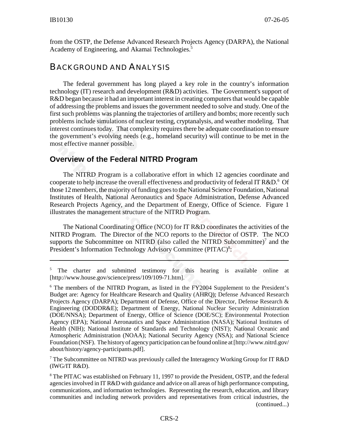from the OSTP, the Defense Advanced Research Projects Agency (DARPA), the National Academy of Engineering, and Akamai Technologies.<sup>5</sup>

# BACKGROUND AND ANALYSIS

The federal government has long played a key role in the country's information technology (IT) research and development (R&D) activities. The Government's support of R&D began because it had an important interest in creating computers that would be capable of addressing the problems and issues the government needed to solve and study. One of the first such problems was planning the trajectories of artillery and bombs; more recently such problems include simulations of nuclear testing, cryptanalysis, and weather modeling. That interest continues today. That complexity requires there be adequate coordination to ensure the government's evolving needs (e.g., homeland security) will continue to be met in the most effective manner possible.

# **Overview of the Federal NITRD Program**

The NITRD Program is a collaborative effort in which 12 agencies coordinate and cooperate to help increase the overall effectiveness and productivity of federal IT R&D.<sup>6</sup> Of those 12 members, the majority of funding goes to the National Science Foundation, National Institutes of Health, National Aeronautics and Space Administration, Defense Advanced Research Projects Agency, and the Department of Energy, Office of Science. Figure 1 illustrates the management structure of the NITRD Program.

The National Coordinating Office (NCO) for IT R&D coordinates the activities of the NITRD Program. The Director of the NCO reports to the Director of OSTP. The NCO supports the Subcommittee on NITRD (also called the NITRD Subcommittee)<sup>7</sup> and the President's Information Technology Advisory Committee (PITAC)<sup>8</sup>:

<sup>7</sup> The Subcommittee on NITRD was previously called the Interagency Working Group for IT R&D (IWG/IT R&D).

<sup>8</sup> The PITAC was established on February 11, 1997 to provide the President, OSTP, and the federal agencies involved in IT R&D with guidance and advice on all areas of high performance computing, communications, and information technologies. Representing the research, education, and library communities and including network providers and representatives from critical industries, the (continued...)

<sup>&</sup>lt;sup>5</sup> The charter and submitted testimony for this hearing is available online at [http://www.house.gov/science/press/109/109-71.htm].

<sup>&</sup>lt;sup>6</sup> The members of the NITRD Program, as listed in the FY2004 Supplement to the President's Budget are: Agency for Healthcare Research and Quality (AHRQ); Defense Advanced Research Projects Agency (DARPA); Department of Defense, Office of the Director, Defense Research & Engineering (DODDR&E); Department of Energy, National Nuclear Security Administration (DOE/NNSA); Department of Energy, Office of Science (DOE/SC); Environmental Protection Agency (EPA); National Aeronautics and Space Administration (NASA); National Institutes of Health (NIH); National Institute of Standards and Technology (NIST); National Oceanic and Atmospheric Administration (NOAA); National Security Agency (NSA); and National Science Foundation (NSF). The history of agency participation can be found online at [http://www.nitrd.gov/ about/history/agency-participants.pdf].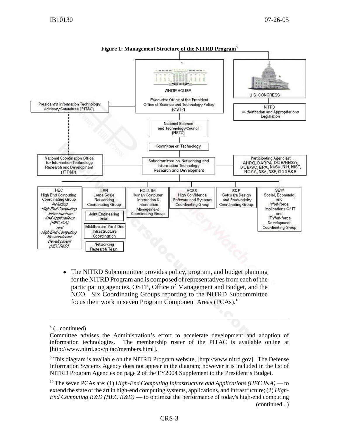

**Figure 1: Management Structure of the NITRD Program9**

! The NITRD Subcommittee provides policy, program, and budget planning for the NITRD Program and is composed of representatives from each of the participating agencies, OSTP, Office of Management and Budget, and the NCO. Six Coordinating Groups reporting to the NITRD Subcommittee focus their work in seven Program Component Areas (PCAs).<sup>10</sup>

<sup>8</sup> (...continued)

Committee advises the Administration's effort to accelerate development and adoption of information technologies. The membership roster of the PITAC is available online at [http://www.nitrd.gov/pitac/members.html].

<sup>&</sup>lt;sup>9</sup> This diagram is available on the NITRD Program website, [http://www.nitrd.gov]. The Defense Information Systems Agency does not appear in the diagram; however it is included in the list of NITRD Program Agencies on page 2 of the FY2004 Supplement to the President's Budget.

<sup>&</sup>lt;sup>10</sup> The seven PCAs are: (1) *High-End Computing Infrastructure and Applications (HEC I&A)* — to extend the state of the art in high-end computing systems, applications, and infrastructure; (2) *High-End Computing R&D (HEC R&D)* — to optimize the performance of today's high-end computing (continued...)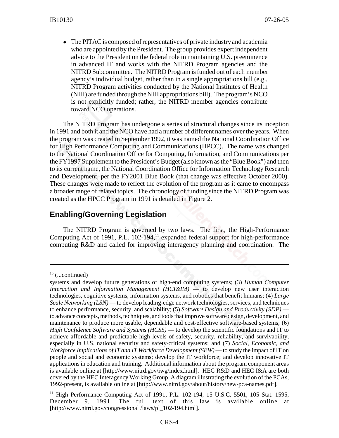• The PITAC is composed of representatives of private industry and academia who are appointed by the President. The group provides expert independent advice to the President on the federal role in maintaining U.S. preeminence in advanced IT and works with the NITRD Program agencies and the NITRD Subcommittee. The NITRD Program is funded out of each member agency's individual budget, rather than in a single appropriations bill (e.g., NITRD Program activities conducted by the National Institutes of Health (NIH) are funded through the NIH appropriations bill). The program's NCO is not explicitly funded; rather, the NITRD member agencies contribute toward NCO operations.

The NITRD Program has undergone a series of structural changes since its inception in 1991 and both it and the NCO have had a number of different names over the years. When the program was created in September 1992, it was named the National Coordination Office for High Performance Computing and Communications (HPCC). The name was changed to the National Coordination Office for Computing, Information, and Communications per the FY1997 Supplement to the President's Budget (also known as the "Blue Book") and then to its current name, the National Coordination Office for Information Technology Research and Development, per the FY2001 Blue Book (that change was effective October 2000). These changes were made to reflect the evolution of the program as it came to encompass a broader range of related topics. The chronology of funding since the NITRD Program was created as the HPCC Program in 1991 is detailed in Figure 2.

# **Enabling/Governing Legislation**

The NITRD Program is governed by two laws. The first, the High-Performance Computing Act of 1991, P.L.  $102-194$ ,<sup>11</sup> expanded federal support for high-performance computing R&D and called for improving interagency planning and coordination. The

 $10$  (...continued)

systems and develop future generations of high-end computing systems; (3) *Human Computer Interaction and Information Management (HCI&IM)* — to develop new user interaction technologies, cognitive systems, information systems, and robotics that benefit humans; (4) *Large Scale Networking (LSN)* — to develop leading-edge network technologies, services, and techniques to enhance performance, security, and scalability; (5) *Software Design and Productivity (SDP)* to advance concepts, methods, techniques, and tools that improve software design, development, and maintenance to produce more usable, dependable and cost-effective software-based systems; (6) *High Confidence Software and Systems (HCSS)* — to develop the scientific foundations and IT to achieve affordable and predictable high levels of safety, security, reliability, and survivability, especially in U.S. national security and safety-critical systems; and (7) *Social, Economic, and Workforce Implications of IT and IT Workforce Development (SEW)* — to study the impact of IT on people and social and economic systems; develop the IT workforce; and develop innovative IT applications in education and training. Additional information about the program component areas is available online at [http://www.nitrd.gov/iwg/index.html]. HEC R&D and HEC I&A are both covered by the HEC Interagency Working Group. A diagram illustrating the evolution of the PCAs, 1992-present, is available online at [http://www.nitrd.gov/about/history/new-pca-names.pdf].

<sup>&</sup>lt;sup>11</sup> High Performance Computing Act of 1991, P.L. 102-194, 15 U.S.C. 5501, 105 Stat. 1595, December 9, 1991. The full text of this law is available online at [http://www.nitrd.gov/congressional /laws/pl\_102-194.html].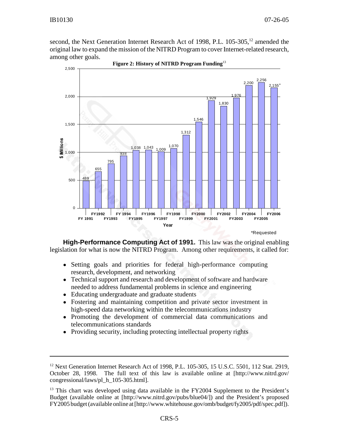second, the Next Generation Internet Research Act of 1998, P.L. 105-305,<sup>12</sup> amended the original law to expand the mission of the NITRD Program to cover Internet-related research, among other goals.

**Figure 2: History of NITRD Program Funding**<sup>13</sup>



\*Requested

**High-Performance Computing Act of 1991.** This law was the original enabling legislation for what is now the NITRD Program. Among other requirements, it called for:

- ! Setting goals and priorities for federal high-performance computing research, development, and networking
- Technical support and research and development of software and hardware needed to address fundamental problems in science and engineering
- Educating undergraduate and graduate students
- ! Fostering and maintaining competition and private sector investment in high-speed data networking within the telecommunications industry
- ! Promoting the development of commercial data communications and telecommunications standards
- Providing security, including protecting intellectual property rights

<sup>&</sup>lt;sup>12</sup> Next Generation Internet Research Act of 1998, P.L. 105-305, 15 U.S.C. 5501, 112 Stat. 2919, October 28, 1998. The full text of this law is available online at [http://www.nitrd.gov/ congressional/laws/pl\_h\_105-305.html].

 $<sup>13</sup>$  This chart was developed using data available in the FY2004 Supplement to the President's</sup> Budget (available online at [http://www.nitrd.gov/pubs/blue04/]) and the President's proposed FY2005 budget (available online at [http://www.whitehouse.gov/omb/budget/fy2005/pdf/spec.pdf]).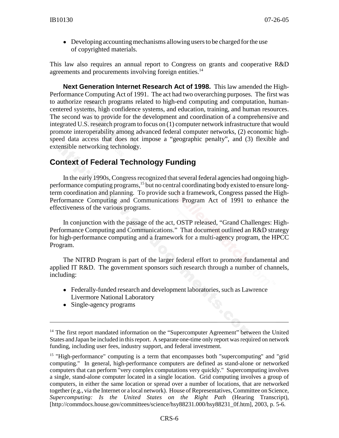• Developing accounting mechanisms allowing users to be charged for the use of copyrighted materials.

This law also requires an annual report to Congress on grants and cooperative R&D agreements and procurements involving foreign entities.<sup>14</sup>

**Next Generation Internet Research Act of 1998.** This law amended the High-Performance Computing Act of 1991. The act had two overarching purposes. The first was to authorize research programs related to high-end computing and computation, humancentered systems, high confidence systems, and education, training, and human resources. The second was to provide for the development and coordination of a comprehensive and integrated U.S. research program to focus on (1) computer network infrastructure that would promote interoperability among advanced federal computer networks, (2) economic highspeed data access that does not impose a "geographic penalty", and (3) flexible and extensible networking technology.

# **Context of Federal Technology Funding**

In the early 1990s, Congress recognized that several federal agencies had ongoing highperformance computing programs,<sup>15</sup> but no central coordinating body existed to ensure longterm coordination and planning. To provide such a framework, Congress passed the High-Performance Computing and Communications Program Act of 1991 to enhance the effectiveness of the various programs.

In conjunction with the passage of the act, OSTP released, "Grand Challenges: High-Performance Computing and Communications." That document outlined an R&D strategy for high-performance computing and a framework for a multi-agency program, the HPCC Program.

The NITRD Program is part of the larger federal effort to promote fundamental and applied IT R&D. The government sponsors such research through a number of channels, including:

- ! Federally-funded research and development laboratories, such as Lawrence Livermore National Laboratory
- Single-agency programs

<sup>&</sup>lt;sup>14</sup> The first report mandated information on the "Supercomputer Agreement" between the United States and Japan be included in this report. A separate one-time only report was required on network funding, including user fees, industry support, and federal investment.

<sup>&</sup>lt;sup>15</sup> "High-performance" computing is a term that encompasses both "supercomputing" and "grid computing." In general, high-performance computers are defined as stand-alone or networked computers that can perform "very complex computations very quickly." Supercomputing involves a single, stand-alone computer located in a single location. Grid computing involves a group of computers, in either the same location or spread over a number of locations, that are networked together (e.g., via the Internet or a local network). House of Representatives, Committee on Science, *Supercomputing: Is the United States on the Right Path* (Hearing Transcript), [http://commdocs.house.gov/committees/science/hsy88231.000/hsy88231\_0f.htm], 2003, p. 5-6.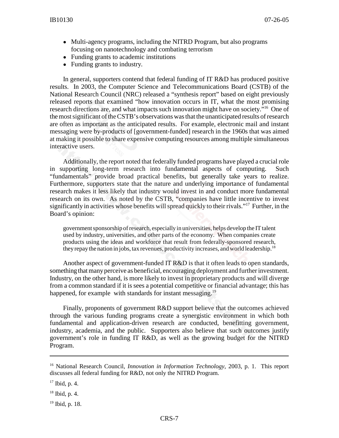- Multi-agency programs, including the NITRD Program, but also programs focusing on nanotechnology and combating terrorism
- Funding grants to academic institutions
- Funding grants to industry.

In general, supporters contend that federal funding of IT R&D has produced positive results. In 2003, the Computer Science and Telecommunications Board (CSTB) of the National Research Council (NRC) released a "synthesis report" based on eight previously released reports that examined "how innovation occurs in IT, what the most promising research directions are, and what impacts such innovation might have on society."16 One of the most significant of the CSTB's observations was that the unanticipated results of research are often as important as the anticipated results. For example, electronic mail and instant messaging were by-products of [government-funded] research in the 1960s that was aimed at making it possible to share expensive computing resources among multiple simultaneous interactive users.

Additionally, the report noted that federally funded programs have played a crucial role in supporting long-term research into fundamental aspects of computing. Such "fundamentals" provide broad practical benefits, but generally take years to realize. Furthermore, supporters state that the nature and underlying importance of fundamental research makes it less likely that industry would invest in and conduct more fundamental research on its own. As noted by the CSTB, "companies have little incentive to invest significantly in activities whose benefits will spread quickly to their rivals."<sup>17</sup> Further, in the Board's opinion:

government sponsorship of research, especially in universities, helps develop the IT talent used by industry, universities, and other parts of the economy. When companies create products using the ideas and workforce that result from federally-sponsored research, they repay the nation in jobs, tax revenues, productivity increases, and world leadership.<sup>18</sup>

Another aspect of government-funded IT R&D is that it often leads to open standards, something that many perceive as beneficial, encouraging deployment and further investment. Industry, on the other hand, is more likely to invest in proprietary products and will diverge from a common standard if it is sees a potential competitive or financial advantage; this has happened, for example with standards for instant messaging.<sup>19</sup>

Finally, proponents of government R&D support believe that the outcomes achieved through the various funding programs create a synergistic environment in which both fundamental and application-driven research are conducted, benefitting government, industry, academia, and the public. Supporters also believe that such outcomes justify government's role in funding IT R&D, as well as the growing budget for the NITRD Program.

<sup>16</sup> National Research Council, *Innovation in Information Technology*, 2003, p. 1. This report discusses all federal funding for R&D, not only the NITRD Program.

<sup>17</sup> Ibid, p. 4.

 $18$  Ibid, p. 4.

<sup>&</sup>lt;sup>19</sup> Ibid, p. 18.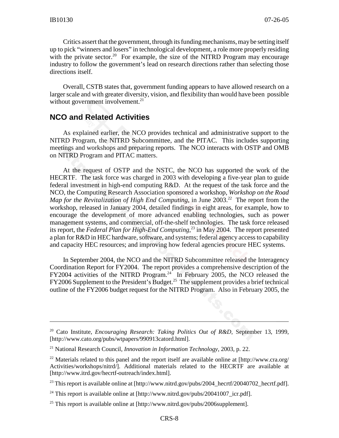Critics assert that the government, through its funding mechanisms, may be setting itself up to pick "winners and losers" in technological development, a role more properly residing with the private sector.<sup>20</sup> For example, the size of the NITRD Program may encourage industry to follow the government's lead on research directions rather than selecting those directions itself.

Overall, CSTB states that, government funding appears to have allowed research on a larger scale and with greater diversity, vision, and flexibility than would have been possible without government involvement. $21$ 

#### **NCO and Related Activities**

As explained earlier, the NCO provides technical and administrative support to the NITRD Program, the NITRD Subcommittee, and the PITAC. This includes supporting meetings and workshops and preparing reports. The NCO interacts with OSTP and OMB on NITRD Program and PITAC matters.

At the request of OSTP and the NSTC, the NCO has supported the work of the HECRTF. The task force was charged in 2003 with developing a five-year plan to guide federal investment in high-end computing R&D. At the request of the task force and the NCO, the Computing Research Association sponsored a workshop, *Workshop on the Road Map for the Revitalization of High End Computing*, in June 2003.<sup>22</sup> The report from the workshop, released in January 2004, detailed findings in eight areas, for example, how to encourage the development of more advanced enabling technologies, such as power management systems, and commercial, off-the-shelf technologies. The task force released its report, the *Federal Plan for High-End Computing*,<sup>23</sup> in May 2004. The report presented a plan for R&D in HEC hardware, software, and systems; federal agency access to capability and capacity HEC resources; and improving how federal agencies procure HEC systems.

In September 2004, the NCO and the NITRD Subcommittee released the Interagency Coordination Report for FY2004. The report provides a comprehensive description of the FY2004 activities of the NITRD Program.<sup>24</sup> In February 2005, the NCO released the  $FY2006$  Supplement to the President's Budget.<sup>25</sup> The supplement provides a brief technical outline of the FY2006 budget request for the NITRD Program. Also in February 2005, the

<sup>20</sup> Cato Institute, *Encouraging Research: Taking Politics Out of R&D*, September 13, 1999, [http://www.cato.org/pubs/wtpapers/990913catord.html].

<sup>21</sup> National Research Council, *Innovation in Information Technology*, 2003, p. 22.

<sup>&</sup>lt;sup>22</sup> Materials related to this panel and the report itself are available online at [http://www.cra.org/ Activities/workshops/nitrd/]. Additional materials related to the HECRTF are available at [http://www.itrd.gov/hecrtf-outreach/index.html].

<sup>&</sup>lt;sup>23</sup> This report is available online at [http://www.nitrd.gov/pubs/2004\_hecrtf/20040702\_hecrtf.pdf].

<sup>&</sup>lt;sup>24</sup> This report is available online at [http://www.nitrd.gov/pubs/20041007 icr.pdf].

<sup>&</sup>lt;sup>25</sup> This report is available online at [http://www.nitrd.gov/pubs/2006supplement].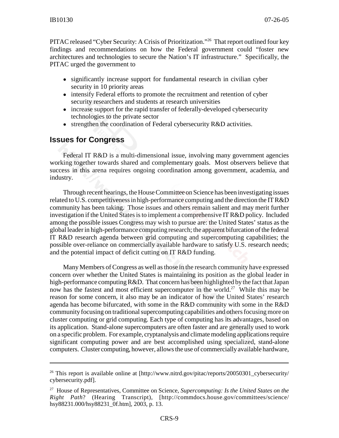PITAC released "Cyber Security: A Crisis of Prioritization."<sup>26</sup> That report outlined four key findings and recommendations on how the Federal government could "foster new architectures and technologies to secure the Nation's IT infrastructure." Specifically, the PITAC urged the government to

- significantly increase support for fundamental research in civilian cyber security in 10 priority areas
- intensify Federal efforts to promote the recruitment and retention of cyber security researchers and students at research universities
- increase support for the rapid transfer of federally-developed cybersecurity technologies to the private sector
- strengthen the coordination of Federal cybersecurity R&D activities.

# **Issues for Congress**

Federal IT R&D is a multi-dimensional issue, involving many government agencies working together towards shared and complementary goals. Most observers believe that success in this arena requires ongoing coordination among government, academia, and industry.

Through recent hearings, the House Committee on Science has been investigating issues related to U.S. competitiveness in high-performance computing and the direction the IT R&D community has been taking. Those issues and others remain salient and may merit further investigation if the United States is to implement a comprehensive IT R&D policy. Included among the possible issues Congress may wish to pursue are: the United States' status as the global leader in high-performance computing research; the apparent bifurcation of the federal IT R&D research agenda between grid computing and supercomputing capabilities; the possible over-reliance on commercially available hardware to satisfy U.S. research needs; and the potential impact of deficit cutting on IT R&D funding.

Many Members of Congress as well as those in the research community have expressed concern over whether the United States is maintaining its position as the global leader in high-performance computing R&D. That concern has been highlighted by the fact that Japan now has the fastest and most efficient supercomputer in the world.<sup>27</sup> While this may be reason for some concern, it also may be an indicator of how the United States' research agenda has become bifurcated, with some in the R&D community with some in the R&D community focusing on traditional supercomputing capabilities and others focusing more on cluster computing or grid computing. Each type of computing has its advantages, based on its application. Stand-alone supercomputers are often faster and are generally used to work on a specific problem. For example, cryptanalysis and climate modeling applications require significant computing power and are best accomplished using specialized, stand-alone computers. Cluster computing, however, allows the use of commercially available hardware,

<sup>&</sup>lt;sup>26</sup> This report is available online at [http://www.nitrd.gov/pitac/reports/20050301\_cybersecurity/ cybersecurity.pdf].

<sup>27</sup> House of Representatives, Committee on Science, *Supercomputing: Is the United States on the Right Path*? (Hearing Transcript), [http://commdocs.house.gov/committees/science/ hsy88231.000/hsy88231\_0f.htm], 2003, p. 13.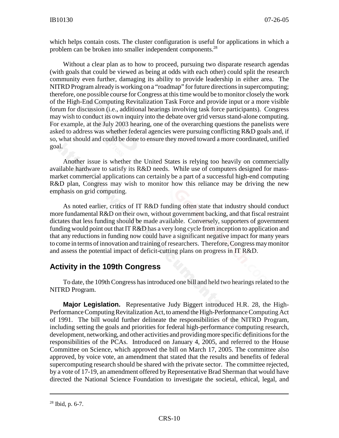which helps contain costs. The cluster configuration is useful for applications in which a problem can be broken into smaller independent components.<sup>28</sup>

Without a clear plan as to how to proceed, pursuing two disparate research agendas (with goals that could be viewed as being at odds with each other) could split the research community even further, damaging its ability to provide leadership in either area. The NITRD Program already is working on a "roadmap" for future directions in supercomputing; therefore, one possible course for Congress at this time would be to monitor closely the work of the High-End Computing Revitalization Task Force and provide input or a more visible forum for discussion (i.e., additional hearings involving task force participants). Congress may wish to conduct its own inquiry into the debate over grid versus stand-alone computing. For example, at the July 2003 hearing, one of the overarching questions the panelists were asked to address was whether federal agencies were pursuing conflicting R&D goals and, if so, what should and could be done to ensure they moved toward a more coordinated, unified goal.

Another issue is whether the United States is relying too heavily on commercially available hardware to satisfy its R&D needs. While use of computers designed for massmarket commercial applications can certainly be a part of a successful high-end computing R&D plan, Congress may wish to monitor how this reliance may be driving the new emphasis on grid computing.

As noted earlier, critics of IT R&D funding often state that industry should conduct more fundamental R&D on their own, without government backing, and that fiscal restraint dictates that less funding should be made available. Conversely, supporters of government funding would point out that IT R&D has a very long cycle from inception to application and that any reductions in funding now could have a significant negative impact for many years to come in terms of innovation and training of researchers. Therefore, Congress may monitor and assess the potential impact of deficit-cutting plans on progress in IT R&D.

## **Activity in the 109th Congress**

To date, the 109th Congress has introduced one bill and held two hearings related to the NITRD Program.

**Major Legislation.** Representative Judy Biggert introduced H.R. 28, the High-Performance Computing Revitalization Act, to amend the High-Performance Computing Act of 1991. The bill would further delineate the responsibilities of the NITRD Program, including setting the goals and priorities for federal high-performance computing research, development, networking, and other activities and providing more specific definitions for the responsibilities of the PCAs. Introduced on January 4, 2005, and referred to the House Committee on Science, which approved the bill on March 17, 2005. The committee also approved, by voice vote, an amendment that stated that the results and benefits of federal supercomputing research should be shared with the private sector. The committee rejected, by a vote of 17-19, an amendment offered by Representative Brad Sherman that would have directed the National Science Foundation to investigate the societal, ethical, legal, and

 $28$  Ibid, p. 6-7.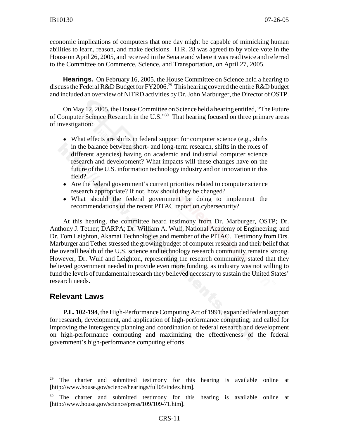economic implications of computers that one day might be capable of mimicking human abilities to learn, reason, and make decisions. H.R. 28 was agreed to by voice vote in the House on April 26, 2005, and received in the Senate and where it was read twice and referred to the Committee on Commerce, Science, and Transportation, on April 27, 2005.

**Hearings.** On February 16, 2005, the House Committee on Science held a hearing to discuss the Federal R&D Budget for FY2006.<sup>29</sup> This hearing covered the entire R&D budget and included an overview of NITRD activities by Dr. John Marburger, the Director of OSTP.

On May 12, 2005, the House Committee on Science held a hearing entitled, "The Future of Computer Science Research in the U.S."30 That hearing focused on three primary areas of investigation:

- What effects are shifts in federal support for computer science (e.g., shifts in the balance between short- and long-term research, shifts in the roles of different agencies) having on academic and industrial computer science research and development? What impacts will these changes have on the future of the U.S. information technology industry and on innovation in this field?
- Are the federal government's current priorities related to computer science research appropriate? If not, how should they be changed?
- ! What should the federal government be doing to implement the recommendations of the recent PITAC report on cybersecurity?

At this hearing, the committee heard testimony from Dr. Marburger, OSTP; Dr. Anthony J. Tether; DARPA; Dr. William A. Wulf, National Academy of Engineering; and Dr. Tom Leighton, Akamai Technologies and member of the PITAC. Testimony from Drs. Marburger and Tether stressed the growing budget of computer research and their belief that the overall health of the U.S. science and technology research community remains strong. However, Dr. Wulf and Leighton, representing the research community, stated that they believed government needed to provide even more funding, as industry was not willing to fund the levels of fundamental research they believed necessary to sustain the United States' research needs.

## **Relevant Laws**

**P.L. 102-194**, the High-Performance Computing Act of 1991, expanded federal support for research, development, and application of high-performance computing; and called for improving the interagency planning and coordination of federal research and development on high-performance computing and maximizing the effectiveness of the federal government's high-performance computing efforts.

 $29$  The charter and submitted testimony for this hearing is available online at [http://www.house.gov/science/hearings/full05/index.htm].

<sup>&</sup>lt;sup>30</sup> The charter and submitted testimony for this hearing is available online at [http://www.house.gov/science/press/109/109-71.htm].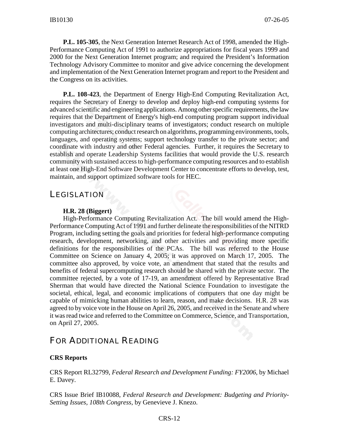**P.L. 105-305**, the Next Generation Internet Research Act of 1998, amended the High-Performance Computing Act of 1991 to authorize appropriations for fiscal years 1999 and 2000 for the Next Generation Internet program; and required the President's Information Technology Advisory Committee to monitor and give advice concerning the development and implementation of the Next Generation Internet program and report to the President and the Congress on its activities.

**P.L. 108-423**, the Department of Energy High-End Computing Revitalization Act, requires the Secretary of Energy to develop and deploy high-end computing systems for advanced scientific and engineering applications. Among other specific requirements, the law requires that the Department of Energy's high-end computing program support individual investigators and multi-disciplinary teams of investigators; conduct research on multiple computing architectures; conduct research on algorithms, programming environments, tools, languages, and operating systems; support technology transfer to the private sector; and coordinate with industry and other Federal agencies. Further, it requires the Secretary to establish and operate Leadership Systems facilities that would provide the U.S. research community with sustained access to high-performance computing resources and to establish at least one High-End Software Development Center to concentrate efforts to develop, test, maintain, and support optimized software tools for HEC.

# **LEGISLATION**

#### **H.R. 28 (Biggert)**

High-Performance Computing Revitalization Act. The bill would amend the High-Performance Computing Act of 1991 and further delineate the responsibilities of the NITRD Program, including setting the goals and priorities for federal high-performance computing research, development, networking, and other activities and providing more specific definitions for the responsibilities of the PCAs. The bill was referred to the House Committee on Science on January 4, 2005; it was approved on March 17, 2005. The committee also approved, by voice vote, an amendment that stated that the results and benefits of federal supercomputing research should be shared with the private sector. The committee rejected, by a vote of 17-19, an amendment offered by Representative Brad Sherman that would have directed the National Science Foundation to investigate the societal, ethical, legal, and economic implications of computers that one day might be capable of mimicking human abilities to learn, reason, and make decisions. H.R. 28 was agreed to by voice vote in the House on April 26, 2005, and received in the Senate and where it was read twice and referred to the Committee on Commerce, Science, and Transportation, on April 27, 2005.

# FOR ADDITIONAL READING

#### **CRS Reports**

CRS Report RL32799, *Federal Research and Development Funding: FY2006*, by Michael E. Davey.

CRS Issue Brief IB10088, *Federal Research and Development: Budgeting and Priority-Setting Issues, 108th Congress*, by Genevieve J. Knezo.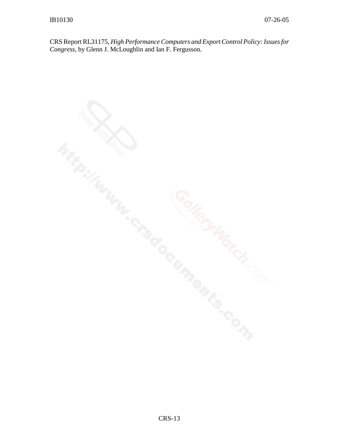CRS Report RL31175, *High Performance Computers and Export Control Policy: Issues for Congress*, by Glenn J. McLoughlin and Ian F. Fergusson.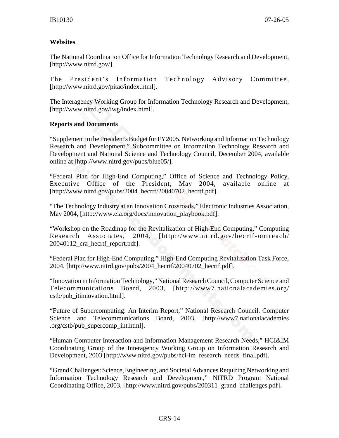#### **Websites**

The National Coordination Office for Information Technology Research and Development, [http://www.nitrd.gov/].

The President's Information Technology Advisory Committee, [http://www.nitrd.gov/pitac/index.html].

The Interagency Working Group for Information Technology Research and Development, [http://www.nitrd.gov/iwg/index.html].

#### **Reports and Documents**

"Supplement to the President's Budget for FY2005, Networking and Information Technology Research and Development," Subcommittee on Information Technology Research and Development and National Science and Technology Council, December 2004, available online at [http://www.nitrd.gov/pubs/blue05/].

"Federal Plan for High-End Computing," Office of Science and Technology Policy, Executive Office of the President, May 2004, available online at [http://www.nitrd.gov/pubs/2004\_hecrtf/20040702\_hecrtf.pdf].

"The Technology Industry at an Innovation Crossroads," Electronic Industries Association, May 2004, [http://www.eia.org/docs/innovation\_playbook.pdf].

"Workshop on the Roadmap for the Revitalization of High-End Computing," Computing Research Associates, 2004, [http://www.nitrd.gov/hecrtf-outreach/ 20040112\_cra\_hecrtf\_report.pdf].

"Federal Plan for High-End Computing," High-End Computing Revitalization Task Force, 2004, [http://www.nitrd.gov/pubs/2004\_hecrtf/20040702\_hecrtf.pdf].

"Innovation in Information Technology," National Research Council, Computer Science and Telecommunications Board, 2003, [http://www7.nationalacademies.org/ cstb/pub\_itinnovation.html].

"Future of Supercomputing: An Interim Report," National Research Council, Computer Science and Telecommunications Board, 2003, [http://www7.nationalacademies] .org/cstb/pub\_supercomp\_int.html].

"Human Computer Interaction and Information Management Research Needs," HCI&IM Coordinating Group of the Interagency Working Group on Information Research and Development, 2003 [http://www.nitrd.gov/pubs/hci-im\_research\_needs\_final.pdf].

"Grand Challenges: Science, Engineering, and Societal Advances Requiring Networking and Information Technology Research and Development," NITRD Program National Coordinating Office, 2003, [http://www.nitrd.gov/pubs/200311\_grand\_challenges.pdf].